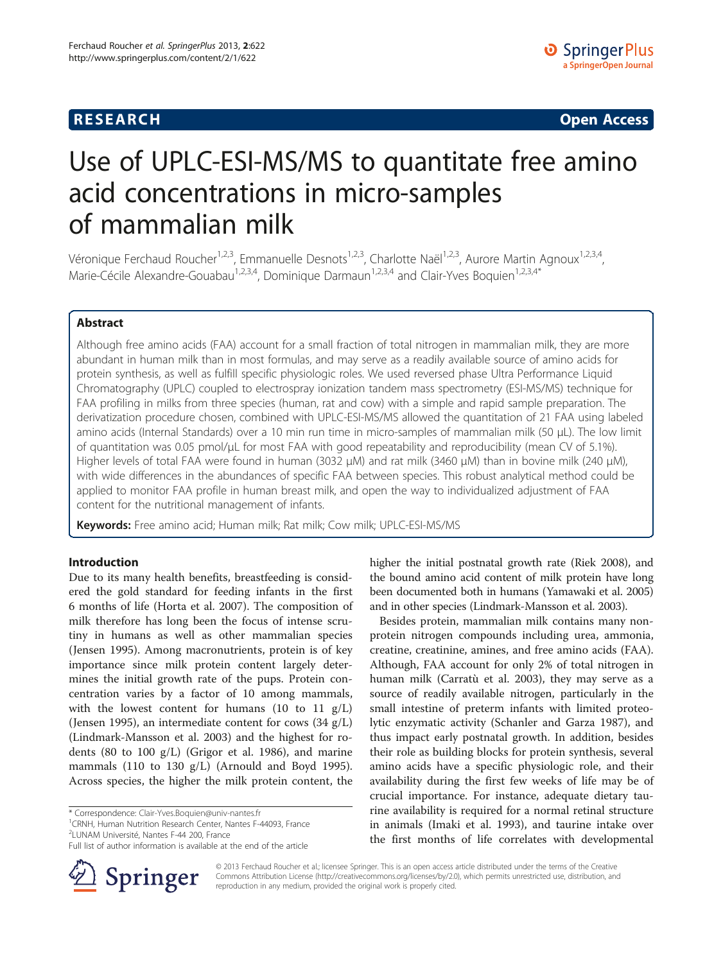# **RESEARCH CHINESE ARCH CHINESE ARCH CHINESE ARCH <b>CHINESE ARCH**

# Use of UPLC-ESI-MS/MS to quantitate free amino acid concentrations in micro-samples of mammalian milk

Véronique Ferchaud Roucher<sup>1,2,3</sup>, Emmanuelle Desnots<sup>1,2,3</sup>, Charlotte Naël<sup>1,2,3</sup>, Aurore Martin Agnoux<sup>1,2,3,4</sup>, Marie-Cécile Alexandre-Gouabau<sup>1,2,3,4</sup>, Dominique Darmaun<sup>1,2,3,4</sup> and Clair-Yves Boquien<sup>1,2,3,4\*</sup>

# Abstract

Although free amino acids (FAA) account for a small fraction of total nitrogen in mammalian milk, they are more abundant in human milk than in most formulas, and may serve as a readily available source of amino acids for protein synthesis, as well as fulfill specific physiologic roles. We used reversed phase Ultra Performance Liquid Chromatography (UPLC) coupled to electrospray ionization tandem mass spectrometry (ESI-MS/MS) technique for FAA profiling in milks from three species (human, rat and cow) with a simple and rapid sample preparation. The derivatization procedure chosen, combined with UPLC-ESI-MS/MS allowed the quantitation of 21 FAA using labeled amino acids (Internal Standards) over a 10 min run time in micro-samples of mammalian milk (50 μL). The low limit of quantitation was 0.05 pmol/μL for most FAA with good repeatability and reproducibility (mean CV of 5.1%). Higher levels of total FAA were found in human (3032 μM) and rat milk (3460 μM) than in bovine milk (240 μM), with wide differences in the abundances of specific FAA between species. This robust analytical method could be applied to monitor FAA profile in human breast milk, and open the way to individualized adjustment of FAA content for the nutritional management of infants.

Keywords: Free amino acid; Human milk; Rat milk; Cow milk; UPLC-ESI-MS/MS

#### Introduction

Due to its many health benefits, breastfeeding is considered the gold standard for feeding infants in the first 6 months of life (Horta et al. [2007](#page-9-0)). The composition of milk therefore has long been the focus of intense scrutiny in humans as well as other mammalian species (Jensen [1995](#page-10-0)). Among macronutrients, protein is of key importance since milk protein content largely determines the initial growth rate of the pups. Protein concentration varies by a factor of 10 among mammals, with the lowest content for humans  $(10 \text{ to } 11 \text{ g/L})$ (Jensen [1995\)](#page-10-0), an intermediate content for cows (34 g/L) (Lindmark-Mansson et al. [2003\)](#page-10-0) and the highest for rodents (80 to 100 g/L) (Grigor et al. [1986\)](#page-9-0), and marine mammals (110 to 130 g/L) (Arnould and Boyd [1995](#page-9-0)). Across species, the higher the milk protein content, the

<sup>1</sup> CRNH, Human Nutrition Research Center, Nantes F-44093, France

2 LUNAM Université, Nantes F-44 200, France Full list of author information is available at the end of the article higher the initial postnatal growth rate (Riek [2008](#page-10-0)), and the bound amino acid content of milk protein have long been documented both in humans (Yamawaki et al. [2005](#page-10-0)) and in other species (Lindmark-Mansson et al. [2003](#page-10-0)).

Besides protein, mammalian milk contains many nonprotein nitrogen compounds including urea, ammonia, creatine, creatinine, amines, and free amino acids (FAA). Although, FAA account for only 2% of total nitrogen in human milk (Carratù et al. [2003\)](#page-9-0), they may serve as a source of readily available nitrogen, particularly in the small intestine of preterm infants with limited proteolytic enzymatic activity (Schanler and Garza [1987](#page-10-0)), and thus impact early postnatal growth. In addition, besides their role as building blocks for protein synthesis, several amino acids have a specific physiologic role, and their availability during the first few weeks of life may be of crucial importance. For instance, adequate dietary taurine availability is required for a normal retinal structure in animals (Imaki et al. [1993\)](#page-10-0), and taurine intake over the first months of life correlates with developmental

© 2013 Ferchaud Roucher et al.; licensee Springer. This is an open access article distributed under the terms of the Creative Commons Attribution License (<http://creativecommons.org/licenses/by/2.0>), which permits unrestricted use, distribution, and reproduction in any medium, provided the original work is properly cited.

<sup>\*</sup> Correspondence: [Clair-Yves.Boquien@univ-nantes.fr](mailto:Clair-Yves.Boquien@univ-nantes.fr) <sup>1</sup>

Springer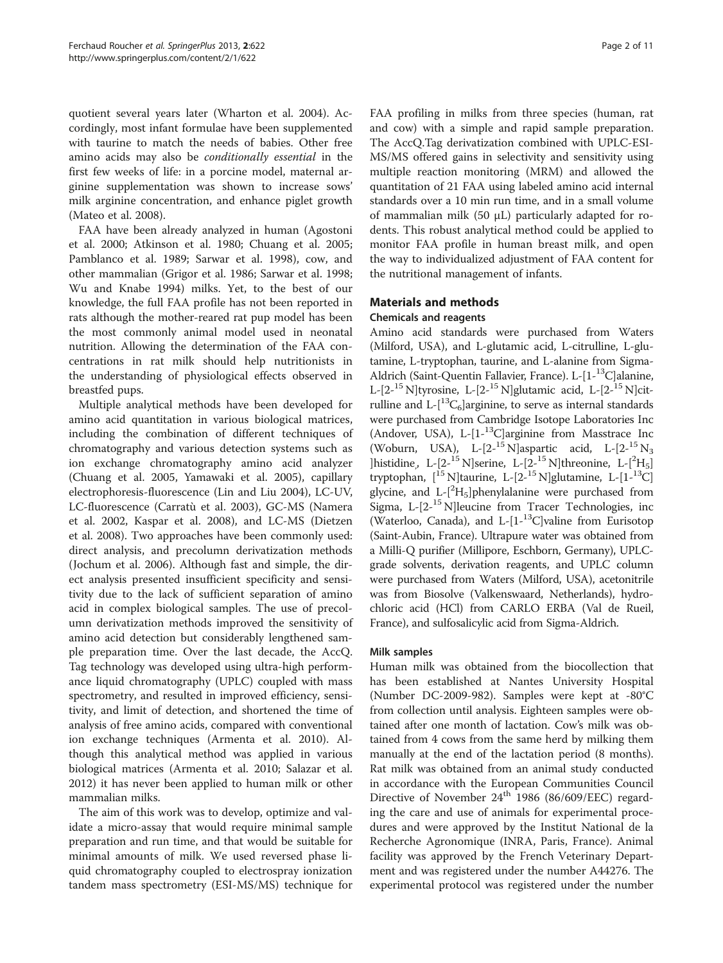quotient several years later (Wharton et al. [2004\)](#page-10-0). Accordingly, most infant formulae have been supplemented with taurine to match the needs of babies. Other free amino acids may also be conditionally essential in the first few weeks of life: in a porcine model, maternal arginine supplementation was shown to increase sows' milk arginine concentration, and enhance piglet growth (Mateo et al. [2008](#page-10-0)).

FAA have been already analyzed in human (Agostoni et al. [2000;](#page-9-0) Atkinson et al. [1980](#page-9-0); Chuang et al. [2005](#page-9-0); Pamblanco et al. [1989;](#page-10-0) Sarwar et al. [1998](#page-10-0)), cow, and other mammalian (Grigor et al. [1986](#page-9-0); Sarwar et al. [1998](#page-10-0); Wu and Knabe [1994\)](#page-10-0) milks. Yet, to the best of our knowledge, the full FAA profile has not been reported in rats although the mother-reared rat pup model has been the most commonly animal model used in neonatal nutrition. Allowing the determination of the FAA concentrations in rat milk should help nutritionists in the understanding of physiological effects observed in breastfed pups.

Multiple analytical methods have been developed for amino acid quantitation in various biological matrices, including the combination of different techniques of chromatography and various detection systems such as ion exchange chromatography amino acid analyzer (Chuang et al. [2005](#page-9-0), Yamawaki et al. [2005\)](#page-10-0), capillary electrophoresis-fluorescence (Lin and Liu [2004\)](#page-10-0), LC-UV, LC-fluorescence (Carratù et al. [2003\)](#page-9-0), GC-MS (Namera et al. [2002](#page-10-0), Kaspar et al. [2008](#page-10-0)), and LC-MS (Dietzen et al. [2008](#page-9-0)). Two approaches have been commonly used: direct analysis, and precolumn derivatization methods (Jochum et al. [2006\)](#page-10-0). Although fast and simple, the direct analysis presented insufficient specificity and sensitivity due to the lack of sufficient separation of amino acid in complex biological samples. The use of precolumn derivatization methods improved the sensitivity of amino acid detection but considerably lengthened sample preparation time. Over the last decade, the AccQ. Tag technology was developed using ultra-high performance liquid chromatography (UPLC) coupled with mass spectrometry, and resulted in improved efficiency, sensitivity, and limit of detection, and shortened the time of analysis of free amino acids, compared with conventional ion exchange techniques (Armenta et al. [2010\)](#page-9-0). Although this analytical method was applied in various biological matrices (Armenta et al. [2010](#page-9-0); Salazar et al. [2012](#page-10-0)) it has never been applied to human milk or other mammalian milks.

The aim of this work was to develop, optimize and validate a micro-assay that would require minimal sample preparation and run time, and that would be suitable for minimal amounts of milk. We used reversed phase liquid chromatography coupled to electrospray ionization tandem mass spectrometry (ESI-MS/MS) technique for FAA profiling in milks from three species (human, rat and cow) with a simple and rapid sample preparation. The AccQ.Tag derivatization combined with UPLC-ESI-MS/MS offered gains in selectivity and sensitivity using multiple reaction monitoring (MRM) and allowed the quantitation of 21 FAA using labeled amino acid internal standards over a 10 min run time, and in a small volume of mammalian milk (50  $\mu$ L) particularly adapted for rodents. This robust analytical method could be applied to monitor FAA profile in human breast milk, and open the way to individualized adjustment of FAA content for the nutritional management of infants.

# Materials and methods

# Chemicals and reagents

Amino acid standards were purchased from Waters (Milford, USA), and L-glutamic acid, L-citrulline, L-glutamine, L-tryptophan, taurine, and L-alanine from Sigma-Aldrich (Saint-Quentin Fallavier, France). L-[1-<sup>13</sup>C]alanine, L-[2-<sup>15</sup> N]tyrosine, L-[2-<sup>15</sup> N]glutamic acid, L-[2-<sup>15</sup> N]citrulline and  $L-[^{13}C_6]$ arginine, to serve as internal standards were purchased from Cambridge Isotope Laboratories Inc (Andover, USA), L-[1-13C]arginine from Masstrace Inc (Woburn, USA), L- $[2^{-15}$  N]aspartic acid, L- $[2^{-15}$  N<sub>3</sub> ]histidine, L- $[2^{-15}$  N]serine, L- $[2^{-15}$  N]threonine, L- $[{}^{2}$ H<sub>5</sub>] tryptophan,  $\left[1^5 \text{ N}\right]$ taurine, L- $\left[2^{-15} \text{ N}\right]$ glutamine, L- $\left[1^{-13} \text{ C}\right]$ glycine, and L-[<sup>2</sup>H<sub>5</sub>]phenylalanine were purchased from Sigma,  $L-[2^{-15} N]$ leucine from Tracer Technologies, inc (Waterloo, Canada), and L- $[1-13C]$ valine from Eurisotop (Saint-Aubin, France). Ultrapure water was obtained from a Milli-Q purifier (Millipore, Eschborn, Germany), UPLCgrade solvents, derivation reagents, and UPLC column were purchased from Waters (Milford, USA), acetonitrile was from Biosolve (Valkenswaard, Netherlands), hydrochloric acid (HCl) from CARLO ERBA (Val de Rueil, France), and sulfosalicylic acid from Sigma-Aldrich.

# Milk samples

Human milk was obtained from the biocollection that has been established at Nantes University Hospital (Number DC-2009-982). Samples were kept at -80°C from collection until analysis. Eighteen samples were obtained after one month of lactation. Cow's milk was obtained from 4 cows from the same herd by milking them manually at the end of the lactation period (8 months). Rat milk was obtained from an animal study conducted in accordance with the European Communities Council Directive of November  $24<sup>th</sup>$  1986 (86/609/EEC) regarding the care and use of animals for experimental procedures and were approved by the Institut National de la Recherche Agronomique (INRA, Paris, France). Animal facility was approved by the French Veterinary Department and was registered under the number A44276. The experimental protocol was registered under the number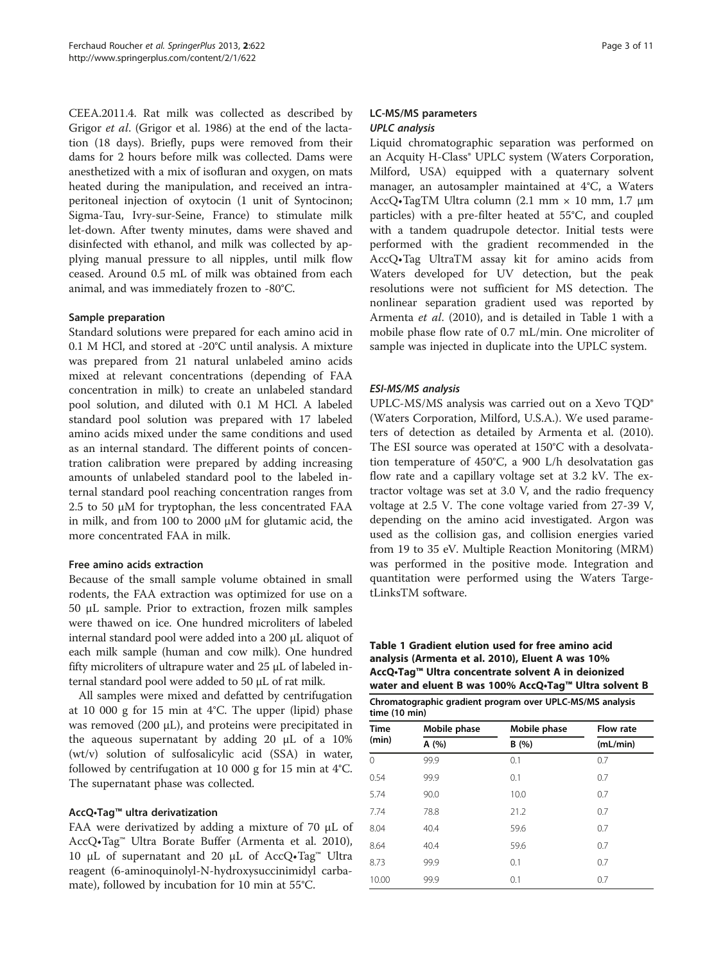CEEA.2011.4. Rat milk was collected as described by Grigor et al. (Grigor et al. [1986](#page-9-0)) at the end of the lactation (18 days). Briefly, pups were removed from their dams for 2 hours before milk was collected. Dams were anesthetized with a mix of isofluran and oxygen, on mats heated during the manipulation, and received an intraperitoneal injection of oxytocin (1 unit of Syntocinon; Sigma-Tau, Ivry-sur-Seine, France) to stimulate milk let-down. After twenty minutes, dams were shaved and disinfected with ethanol, and milk was collected by applying manual pressure to all nipples, until milk flow ceased. Around 0.5 mL of milk was obtained from each animal, and was immediately frozen to -80°C.

#### Sample preparation

Standard solutions were prepared for each amino acid in 0.1 M HCl, and stored at -20°C until analysis. A mixture was prepared from 21 natural unlabeled amino acids mixed at relevant concentrations (depending of FAA concentration in milk) to create an unlabeled standard pool solution, and diluted with 0.1 M HCl. A labeled standard pool solution was prepared with 17 labeled amino acids mixed under the same conditions and used as an internal standard. The different points of concentration calibration were prepared by adding increasing amounts of unlabeled standard pool to the labeled internal standard pool reaching concentration ranges from 2.5 to 50  $\mu$ M for tryptophan, the less concentrated FAA in milk, and from 100 to 2000 μM for glutamic acid, the more concentrated FAA in milk.

#### Free amino acids extraction

Because of the small sample volume obtained in small rodents, the FAA extraction was optimized for use on a 50 μL sample. Prior to extraction, frozen milk samples were thawed on ice. One hundred microliters of labeled internal standard pool were added into a 200 μL aliquot of each milk sample (human and cow milk). One hundred fifty microliters of ultrapure water and 25 μL of labeled internal standard pool were added to 50 μL of rat milk.

All samples were mixed and defatted by centrifugation at 10 000 g for 15 min at 4°C. The upper (lipid) phase was removed  $(200 \mu L)$ , and proteins were precipitated in the aqueous supernatant by adding 20 μL of a 10% (wt/v) solution of sulfosalicylic acid (SSA) in water, followed by centrifugation at 10 000 g for 15 min at 4°C. The supernatant phase was collected.

# AccQ•Tag™ ultra derivatization

FAA were derivatized by adding a mixture of 70 μL of AccQ•Tag™ Ultra Borate Buffer (Armenta et al. [2010](#page-9-0)), 10 μL of supernatant and 20 μL of AccQ•Tag<sup>™</sup> Ultra reagent (6-aminoquinolyl-N-hydroxysuccinimidyl carbamate), followed by incubation for 10 min at 55°C.

# LC-MS/MS parameters UPLC analysis

Liquid chromatographic separation was performed on an Acquity H-Class<sup>®</sup> UPLC system (Waters Corporation, Milford, USA) equipped with a quaternary solvent manager, an autosampler maintained at 4°C, a Waters AccQ•TagTM Ultra column (2.1 mm × 10 mm, 1.7 μm particles) with a pre-filter heated at 55°C, and coupled with a tandem quadrupole detector. Initial tests were performed with the gradient recommended in the AccQ•Tag UltraTM assay kit for amino acids from Waters developed for UV detection, but the peak resolutions were not sufficient for MS detection. The nonlinear separation gradient used was reported by Armenta et al. ([2010\)](#page-9-0), and is detailed in Table 1 with a mobile phase flow rate of 0.7 mL/min. One microliter of sample was injected in duplicate into the UPLC system.

# ESI-MS/MS analysis

UPLC-MS/MS analysis was carried out on a Xevo TQD® (Waters Corporation, Milford, U.S.A.). We used parameters of detection as detailed by Armenta et al. ([2010](#page-9-0)). The ESI source was operated at 150°C with a desolvatation temperature of 450°C, a 900 L/h desolvatation gas flow rate and a capillary voltage set at 3.2 kV. The extractor voltage was set at 3.0 V, and the radio frequency voltage at 2.5 V. The cone voltage varied from 27-39 V, depending on the amino acid investigated. Argon was used as the collision gas, and collision energies varied from 19 to 35 eV. Multiple Reaction Monitoring (MRM) was performed in the positive mode. Integration and quantitation were performed using the Waters TargetLinksTM software.

Table 1 Gradient elution used for free amino acid analysis (Armenta et al. [2010](#page-9-0)), Eluent A was 10% AccQ•Tag™ Ultra concentrate solvent A in deionized water and eluent B was 100% AccQ•Tag™ Ultra solvent B

| Chromatographic gradient program over UPLC-MS/MS analysis |  |
|-----------------------------------------------------------|--|
| time (10 min)                                             |  |

| <b>Time</b> | Mobile phase | Mobile phase | <b>Flow rate</b> |  |  |
|-------------|--------------|--------------|------------------|--|--|
| (min)       | A (%)        | B(%)         | (mL/min)         |  |  |
| $\Omega$    | 99.9         | 0.1          | 0.7              |  |  |
| 0.54        | 99.9         | 0.1          | 0.7              |  |  |
| 5.74        | 90.0         | 10.0         | 0.7              |  |  |
| 7.74        | 78.8         | 21.2         | 0.7              |  |  |
| 8.04        | 40.4         | 59.6         | 0.7              |  |  |
| 8.64        | 40.4         | 59.6         | 0.7              |  |  |
| 8.73        | 99.9         | 0.1          | 0.7              |  |  |
| 10.00       | 99.9         | 0.1          | 0.7              |  |  |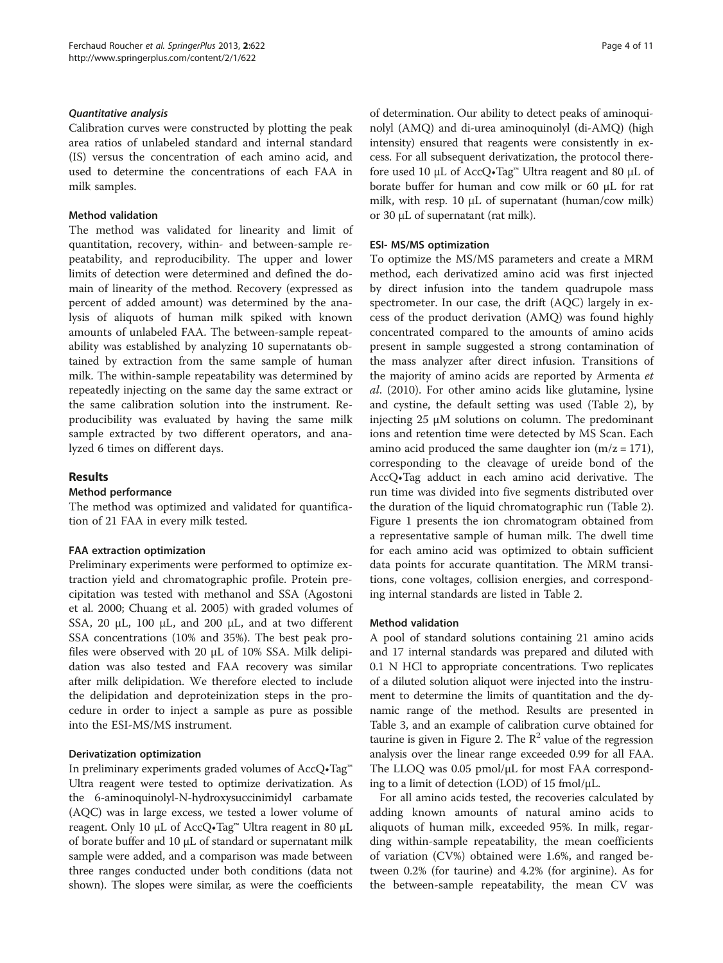#### Quantitative analysis

Calibration curves were constructed by plotting the peak area ratios of unlabeled standard and internal standard (IS) versus the concentration of each amino acid, and used to determine the concentrations of each FAA in milk samples.

#### Method validation

The method was validated for linearity and limit of quantitation, recovery, within- and between-sample repeatability, and reproducibility. The upper and lower limits of detection were determined and defined the domain of linearity of the method. Recovery (expressed as percent of added amount) was determined by the analysis of aliquots of human milk spiked with known amounts of unlabeled FAA. The between-sample repeatability was established by analyzing 10 supernatants obtained by extraction from the same sample of human milk. The within-sample repeatability was determined by repeatedly injecting on the same day the same extract or the same calibration solution into the instrument. Reproducibility was evaluated by having the same milk sample extracted by two different operators, and analyzed 6 times on different days.

# Results

#### Method performance

The method was optimized and validated for quantification of 21 FAA in every milk tested.

#### FAA extraction optimization

Preliminary experiments were performed to optimize extraction yield and chromatographic profile. Protein precipitation was tested with methanol and SSA (Agostoni et al. [2000](#page-9-0); Chuang et al. [2005](#page-9-0)) with graded volumes of SSA, 20 μL, 100 μL, and 200 μL, and at two different SSA concentrations (10% and 35%). The best peak profiles were observed with 20 μL of 10% SSA. Milk delipidation was also tested and FAA recovery was similar after milk delipidation. We therefore elected to include the delipidation and deproteinization steps in the procedure in order to inject a sample as pure as possible into the ESI-MS/MS instrument.

#### Derivatization optimization

In preliminary experiments graded volumes of AccQ•Tag™ Ultra reagent were tested to optimize derivatization. As the 6-aminoquinolyl-N-hydroxysuccinimidyl carbamate (AQC) was in large excess, we tested a lower volume of reagent. Only 10 μL of AccQ•Tag™ Ultra reagent in 80 μL of borate buffer and 10 μL of standard or supernatant milk sample were added, and a comparison was made between three ranges conducted under both conditions (data not shown). The slopes were similar, as were the coefficients of determination. Our ability to detect peaks of aminoquinolyl (AMQ) and di-urea aminoquinolyl (di-AMQ) (high intensity) ensured that reagents were consistently in excess. For all subsequent derivatization, the protocol therefore used 10 μL of AccQ•Tag™ Ultra reagent and 80 μL of borate buffer for human and cow milk or 60 μL for rat milk, with resp. 10 μL of supernatant (human/cow milk) or 30 μL of supernatant (rat milk).

#### ESI- MS/MS optimization

To optimize the MS/MS parameters and create a MRM method, each derivatized amino acid was first injected by direct infusion into the tandem quadrupole mass spectrometer. In our case, the drift (AQC) largely in excess of the product derivation (AMQ) was found highly concentrated compared to the amounts of amino acids present in sample suggested a strong contamination of the mass analyzer after direct infusion. Transitions of the majority of amino acids are reported by Armenta et al. [\(2010\)](#page-9-0). For other amino acids like glutamine, lysine and cystine, the default setting was used (Table [2](#page-4-0)), by injecting 25 μM solutions on column. The predominant ions and retention time were detected by MS Scan. Each amino acid produced the same daughter ion  $(m/z = 171)$ , corresponding to the cleavage of ureide bond of the AccQ•Tag adduct in each amino acid derivative. The run time was divided into five segments distributed over the duration of the liquid chromatographic run (Table [2](#page-4-0)). Figure [1](#page-5-0) presents the ion chromatogram obtained from a representative sample of human milk. The dwell time for each amino acid was optimized to obtain sufficient data points for accurate quantitation. The MRM transitions, cone voltages, collision energies, and corresponding internal standards are listed in Table [2.](#page-4-0)

#### Method validation

A pool of standard solutions containing 21 amino acids and 17 internal standards was prepared and diluted with 0.1 N HCl to appropriate concentrations. Two replicates of a diluted solution aliquot were injected into the instrument to determine the limits of quantitation and the dynamic range of the method. Results are presented in Table [3](#page-5-0), and an example of calibration curve obtained for taurine is given in Figure [2](#page-6-0). The  $R^2$  value of the regression analysis over the linear range exceeded 0.99 for all FAA. The LLOQ was 0.05 pmol/μL for most FAA corresponding to a limit of detection (LOD) of 15 fmol/μL.

For all amino acids tested, the recoveries calculated by adding known amounts of natural amino acids to aliquots of human milk, exceeded 95%. In milk, regarding within-sample repeatability, the mean coefficients of variation (CV%) obtained were 1.6%, and ranged between 0.2% (for taurine) and 4.2% (for arginine). As for the between-sample repeatability, the mean CV was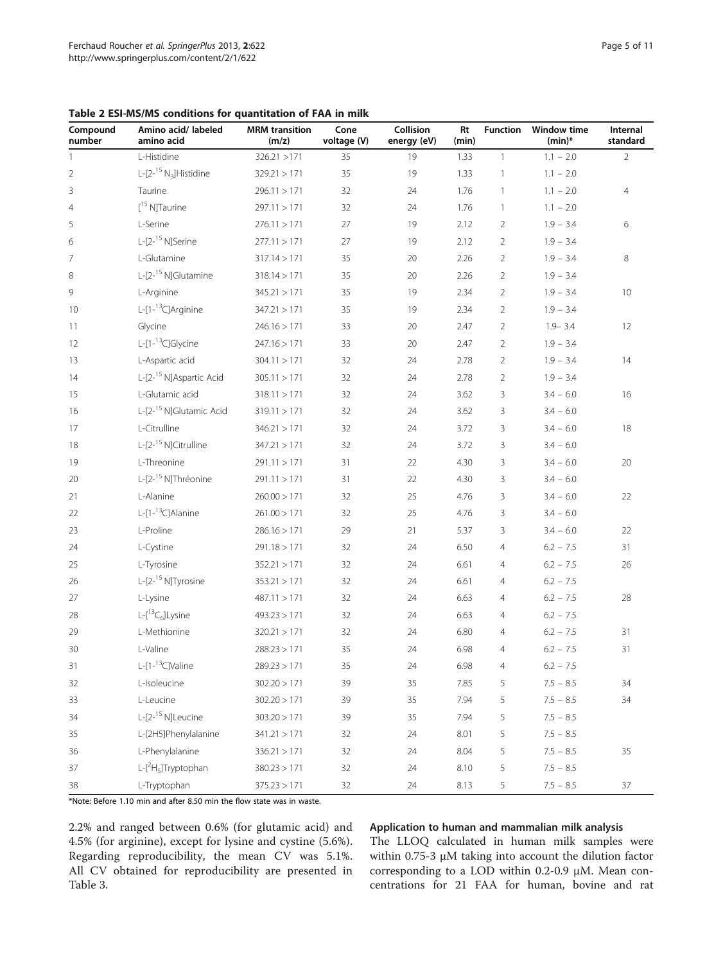<span id="page-4-0"></span>

|  | Table 2 ESI-MS/MS conditions for quantitation of FAA in milk |
|--|--------------------------------------------------------------|
|--|--------------------------------------------------------------|

| Compound<br>number | Amino acid/ labeled<br>amino acid          | <b>MRM</b> transition<br>(m/z) | Cone<br>voltage (V) | Collision<br>energy (eV) | Rt<br>(min) | <b>Function</b> | <b>Window time</b><br>$(min)^*$ | Internal<br>standard |
|--------------------|--------------------------------------------|--------------------------------|---------------------|--------------------------|-------------|-----------------|---------------------------------|----------------------|
| 1                  | L-Histidine                                | 326.21 > 171                   | 35                  | 19                       | 1.33        | $\mathbf{1}$    | $1.1 - 2.0$                     | $\overline{2}$       |
| $\overline{2}$     | L-[2- $15$ N <sub>3</sub> ]Histidine       | 329.21 > 171                   | 35                  | 19                       | 1.33        | $\mathbf{1}$    | $1.1 - 2.0$                     |                      |
| 3                  | Taurine                                    | 296.11 > 171                   | 32                  | 24                       | 1.76        | $\mathbf{1}$    | $1.1 - 2.0$                     | $\overline{4}$       |
| $\overline{4}$     | $[$ <sup>15</sup> N]Taurine                | 297.11 > 171                   | 32                  | 24                       | 1.76        | $\mathbf{1}$    | $1.1 - 2.0$                     |                      |
| 5                  | L-Serine                                   | 276.11 > 171                   | 27                  | 19                       | 2.12        | $\overline{2}$  | $1.9 - 3.4$                     | 6                    |
| 6                  | L-[2- <sup>15</sup> N]Serine               | 277.11 > 171                   | 27                  | 19                       | 2.12        | $\overline{2}$  | $1.9 - 3.4$                     |                      |
| 7                  | L-Glutamine                                | 317.14 > 171                   | 35                  | 20                       | 2.26        | $\overline{2}$  | $1.9 - 3.4$                     | 8                    |
| 8                  | L-[2- <sup>15</sup> N]Glutamine            | 318.14 > 171                   | 35                  | 20                       | 2.26        | $\overline{2}$  | $1.9 - 3.4$                     |                      |
| 9                  | L-Arginine                                 | 345.21 > 171                   | 35                  | 19                       | 2.34        | $\overline{2}$  | $1.9 - 3.4$                     | 10                   |
| 10                 | L- $[1 -$ <sup>13</sup> C]Arginine         | 347.21 > 171                   | 35                  | 19                       | 2.34        | $\overline{2}$  | $1.9 - 3.4$                     |                      |
| 11                 | Glycine                                    | 246.16 > 171                   | 33                  | 20                       | 2.47        | $\overline{2}$  | $1.9 - 3.4$                     | 12                   |
| 12                 | L-[1- <sup>13</sup> C]Glycine              | 247.16 > 171                   | 33                  | 20                       | 2.47        | $\overline{2}$  | $1.9 - 3.4$                     |                      |
| 13                 | L-Aspartic acid                            | 304.11 > 171                   | 32                  | 24                       | 2.78        | $\overline{2}$  | $1.9 - 3.4$                     | 14                   |
| 14                 | L-[2- <sup>15</sup> N]Aspartic Acid        | 305.11 > 171                   | 32                  | 24                       | 2.78        | $\overline{2}$  | $1.9 - 3.4$                     |                      |
| 15                 | L-Glutamic acid                            | 318.11 > 171                   | 32                  | 24                       | 3.62        | 3               | $3.4 - 6.0$                     | 16                   |
| 16                 | L-[2- <sup>15</sup> N]Glutamic Acid        | 319.11 > 171                   | 32                  | 24                       | 3.62        | 3               | $3.4 - 6.0$                     |                      |
| 17                 | L-Citrulline                               | 346.21 > 171                   | 32                  | 24                       | 3.72        | 3               | $3.4 - 6.0$                     | 18                   |
| 18                 | L-[2- <sup>15</sup> N]Citrulline           | 347.21 > 171                   | 32                  | 24                       | 3.72        | 3               | $3.4 - 6.0$                     |                      |
| 19                 | L-Threonine                                | 291.11 > 171                   | 31                  | 22                       | 4.30        | 3               | $3.4 - 6.0$                     | 20                   |
| 20                 | L-[2- <sup>15</sup> N]Thréonine            | 291.11 > 171                   | 31                  | 22                       | 4.30        | 3               | $3.4 - 6.0$                     |                      |
| 21                 | L-Alanine                                  | 260.00 > 171                   | 32                  | 25                       | 4.76        | 3               | $3.4 - 6.0$                     | 22                   |
| 22                 | L-[1- <sup>13</sup> C]Alanine              | 261.00 > 171                   | 32                  | 25                       | 4.76        | 3               | $3.4 - 6.0$                     |                      |
| 23                 | L-Proline                                  | 286.16 > 171                   | 29                  | 21                       | 5.37        | 3               | $3.4 - 6.0$                     | 22                   |
| 24                 | L-Cystine                                  | 291.18 > 171                   | 32                  | 24                       | 6.50        | $\overline{4}$  | $6.2 - 7.5$                     | 31                   |
| 25                 | L-Tyrosine                                 | 352.21 > 171                   | 32                  | 24                       | 6.61        | $\overline{4}$  | $6.2 - 7.5$                     | 26                   |
| 26                 | L-[2- <sup>15</sup> N]Tyrosine             | 353.21 > 171                   | 32                  | 24                       | 6.61        | $\overline{4}$  | $6.2 - 7.5$                     |                      |
| 27                 | L-Lysine                                   | 487.11 > 171                   | 32                  | 24                       | 6.63        | $\overline{4}$  | $6.2 - 7.5$                     | 28                   |
| 28                 | $L-[$ <sup>13</sup> C <sub>6</sub> ]Lysine | 493.23 > 171                   | 32                  | 24                       | 6.63        | $\overline{4}$  | $6.2 - 7.5$                     |                      |
| 29                 | L-Methionine                               | 320.21 > 171                   | 32                  | 24                       | 6.80        | $\overline{4}$  | $6.2 - 7.5$                     | 31                   |
| 30                 | L-Valine                                   | 288.23 > 171                   | 35                  | 24                       | 6.98        | $\overline{4}$  | $6.2 - 7.5$                     | 31                   |
| 31                 | L-[1- <sup>13</sup> C]Valine               | 289.23 > 171                   | 35                  | $24\,$                   | 6.98        | $\overline{4}$  | $6.2 - 7.5$                     |                      |
| 32                 | L-Isoleucine                               | 302.20 > 171                   | 39                  | 35                       | 7.85        | 5               | $7.5 - 8.5$                     | 34                   |
| 33                 | L-Leucine                                  | 302.20 > 171                   | 39                  | 35                       | 7.94        | 5               | $7.5 - 8.5$                     | 34                   |
| 34                 | L-[2- <sup>15</sup> N]Leucine              | 303.20 > 171                   | 39                  | 35                       | 7.94        | 5               | $7.5 - 8.5$                     |                      |
| 35                 | L-[2H5]Phenylalanine                       | 341.21 > 171                   | 32                  | 24                       | 8.01        | 5               | $7.5 - 8.5$                     |                      |
| 36                 | L-Phenylalanine                            | 336.21 > 171                   | 32                  | 24                       | 8.04        | 5               | $7.5 - 8.5$                     | 35                   |
| 37                 | L-[2H <sub>5</sub> ]Tryptophan             | 380.23 > 171                   | 32                  | 24                       | 8.10        | 5               | $7.5 - 8.5$                     |                      |
| 38                 | L-Tryptophan                               | 375.23 > 171                   | 32                  | 24                       | 8.13        | 5               | $7.5 - 8.5$                     | 37                   |

\*Note: Before 1.10 min and after 8.50 min the flow state was in waste.

2.2% and ranged between 0.6% (for glutamic acid) and 4.5% (for arginine), except for lysine and cystine (5.6%). Regarding reproducibility, the mean CV was 5.1%. All CV obtained for reproducibility are presented in Table [3.](#page-5-0)

#### Application to human and mammalian milk analysis

The LLOQ calculated in human milk samples were within 0.75-3 μM taking into account the dilution factor corresponding to a LOD within 0.2-0.9 μM. Mean concentrations for 21 FAA for human, bovine and rat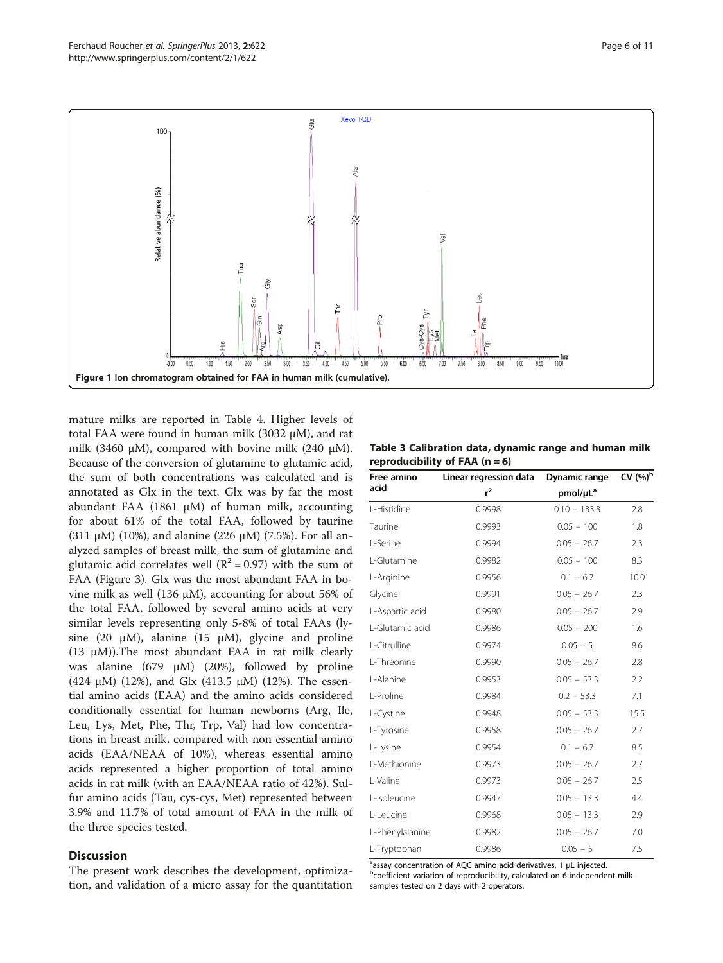<span id="page-5-0"></span>

mature milks are reported in Table [4.](#page-7-0) Higher levels of total FAA were found in human milk (3032 μM), and rat milk (3460 μM), compared with bovine milk (240 μM). Because of the conversion of glutamine to glutamic acid, the sum of both concentrations was calculated and is annotated as Glx in the text. Glx was by far the most abundant FAA (1861  $\mu$ M) of human milk, accounting for about 61% of the total FAA, followed by taurine (311 μM) (10%), and alanine (226 μM) (7.5%). For all analyzed samples of breast milk, the sum of glutamine and glutamic acid correlates well ( $R^2$  = 0.97) with the sum of FAA (Figure [3](#page-8-0)). Glx was the most abundant FAA in bovine milk as well (136 μM), accounting for about 56% of the total FAA, followed by several amino acids at very similar levels representing only 5-8% of total FAAs (lysine (20  $\mu$ M), alanine (15  $\mu$ M), glycine and proline (13  $\mu$ M)). The most abundant FAA in rat milk clearly was alanine (679 μM) (20%), followed by proline (424 μM) (12%), and Glx (413.5 μM) (12%). The essential amino acids (EAA) and the amino acids considered conditionally essential for human newborns (Arg, Ile, Leu, Lys, Met, Phe, Thr, Trp, Val) had low concentrations in breast milk, compared with non essential amino acids (EAA/NEAA of 10%), whereas essential amino acids represented a higher proportion of total amino acids in rat milk (with an EAA/NEAA ratio of 42%). Sulfur amino acids (Tau, cys-cys, Met) represented between 3.9% and 11.7% of total amount of FAA in the milk of the three species tested.

#### **Discussion**

The present work describes the development, optimization, and validation of a micro assay for the quantitation

|                                  |  | Table 3 Calibration data, dynamic range and human milk |  |  |
|----------------------------------|--|--------------------------------------------------------|--|--|
| reproducibility of FAA $(n = 6)$ |  |                                                        |  |  |

| Free amino      | Linear regression data | Dynamic range        | CV $(\%)^b$ |
|-----------------|------------------------|----------------------|-------------|
| acid            | $r^2$                  | pmol/µL <sup>a</sup> |             |
| L-Histidine     | 0.9998                 | $0.10 - 133.3$       | 2.8         |
| Taurine         | 0.9993                 | $0.05 - 100$         | 1.8         |
| L-Serine        | 0.9994                 | $0.05 - 26.7$        | 2.3         |
| L-Glutamine     | 0.9982                 | $0.05 - 100$         | 8.3         |
| L-Arginine      | 0.9956                 | $0.1 - 6.7$          | 10.0        |
| Glycine         | 0.9991                 | $0.05 - 26.7$        | 2.3         |
| L-Aspartic acid | 0.9980                 | $0.05 - 26.7$        | 2.9         |
| L-Glutamic acid | 0.9986                 | $0.05 - 200$         | 1.6         |
| L-Citrulline    | 0.9974                 | $0.05 - 5$           | 8.6         |
| L-Threonine     | 0.9990                 | $0.05 - 26.7$        | 2.8         |
| L-Alanine       | 0.9953                 | $0.05 - 53.3$        | 2.2         |
| L-Proline       | 0.9984                 | $0.2 - 53.3$         | 7.1         |
| L-Cystine       | 0.9948                 | $0.05 - 53.3$        | 15.5        |
| L-Tyrosine      | 0.9958                 | $0.05 - 26.7$        | 2.7         |
| L-Lysine        | 0.9954                 | $0.1 - 6.7$          | 8.5         |
| L-Methionine    | 0.9973                 | $0.05 - 26.7$        | 2.7         |
| L-Valine        | 0.9973                 | $0.05 - 26.7$        | 2.5         |
| L-Isoleucine    | 0.9947                 | $0.05 - 13.3$        | 4.4         |
| L-Leucine       | 0.9968                 | $0.05 - 13.3$        | 2.9         |
| L-Phenylalanine | 0.9982                 | $0.05 - 26.7$        | 7.0         |
| L-Tryptophan    | 0.9986                 | $0.05 - 5$           | 7.5         |

assay concentration of AQC amino acid derivatives, 1 μL injected.<br>bcoefficient variation of roproducibility calculated on 6 independent **b**coefficient variation of reproducibility, calculated on 6 independent milk samples tested on 2 days with 2 operators.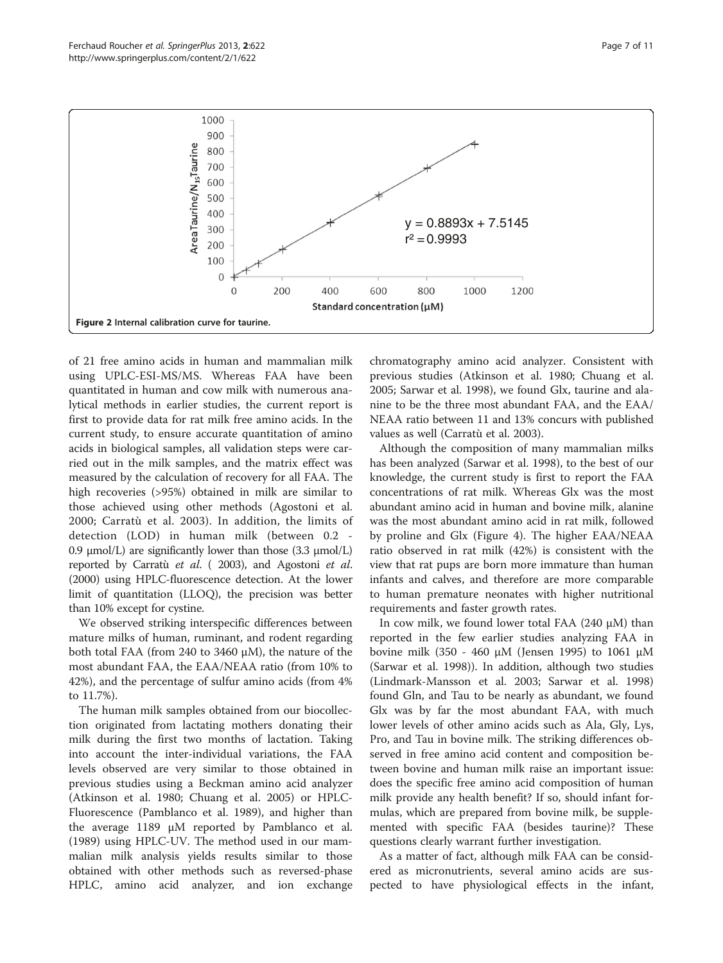

<span id="page-6-0"></span>

of 21 free amino acids in human and mammalian milk using UPLC-ESI-MS/MS. Whereas FAA have been quantitated in human and cow milk with numerous analytical methods in earlier studies, the current report is first to provide data for rat milk free amino acids. In the current study, to ensure accurate quantitation of amino acids in biological samples, all validation steps were carried out in the milk samples, and the matrix effect was measured by the calculation of recovery for all FAA. The high recoveries (>95%) obtained in milk are similar to those achieved using other methods (Agostoni et al. [2000](#page-9-0); Carratù et al. [2003](#page-9-0)). In addition, the limits of detection (LOD) in human milk (between 0.2 - 0.9  $\mu$ mol/L) are significantly lower than those (3.3  $\mu$ mol/L) reported by Carratù et al. ( 2003), and Agostoni et al. (2000) using HPLC-fluorescence detection. At the lower limit of quantitation (LLOQ), the precision was better than 10% except for cystine.

We observed striking interspecific differences between mature milks of human, ruminant, and rodent regarding both total FAA (from 240 to 3460 μM), the nature of the most abundant FAA, the EAA/NEAA ratio (from 10% to 42%), and the percentage of sulfur amino acids (from 4% to 11.7%).

The human milk samples obtained from our biocollection originated from lactating mothers donating their milk during the first two months of lactation. Taking into account the inter-individual variations, the FAA levels observed are very similar to those obtained in previous studies using a Beckman amino acid analyzer (Atkinson et al. [1980;](#page-9-0) Chuang et al. [2005\)](#page-9-0) or HPLC-Fluorescence (Pamblanco et al. [1989](#page-10-0)), and higher than the average 1189 μM reported by Pamblanco et al. ([1989](#page-10-0)) using HPLC-UV. The method used in our mammalian milk analysis yields results similar to those obtained with other methods such as reversed-phase HPLC, amino acid analyzer, and ion exchange

chromatography amino acid analyzer. Consistent with previous studies (Atkinson et al. [1980;](#page-9-0) Chuang et al. [2005](#page-9-0); Sarwar et al. [1998](#page-10-0)), we found Glx, taurine and alanine to be the three most abundant FAA, and the EAA/ NEAA ratio between 11 and 13% concurs with published values as well (Carratù et al. [2003\)](#page-9-0).

Although the composition of many mammalian milks has been analyzed (Sarwar et al. [1998](#page-10-0)), to the best of our knowledge, the current study is first to report the FAA concentrations of rat milk. Whereas Glx was the most abundant amino acid in human and bovine milk, alanine was the most abundant amino acid in rat milk, followed by proline and Glx (Figure [4\)](#page-8-0). The higher EAA/NEAA ratio observed in rat milk (42%) is consistent with the view that rat pups are born more immature than human infants and calves, and therefore are more comparable to human premature neonates with higher nutritional requirements and faster growth rates.

In cow milk, we found lower total FAA (240 μM) than reported in the few earlier studies analyzing FAA in bovine milk (350 - 460 μM (Jensen [1995](#page-10-0)) to 1061 μM (Sarwar et al. [1998\)](#page-10-0)). In addition, although two studies (Lindmark-Mansson et al. [2003;](#page-10-0) Sarwar et al. [1998](#page-10-0)) found Gln, and Tau to be nearly as abundant, we found Glx was by far the most abundant FAA, with much lower levels of other amino acids such as Ala, Gly, Lys, Pro, and Tau in bovine milk. The striking differences observed in free amino acid content and composition between bovine and human milk raise an important issue: does the specific free amino acid composition of human milk provide any health benefit? If so, should infant formulas, which are prepared from bovine milk, be supplemented with specific FAA (besides taurine)? These questions clearly warrant further investigation.

As a matter of fact, although milk FAA can be considered as micronutrients, several amino acids are suspected to have physiological effects in the infant,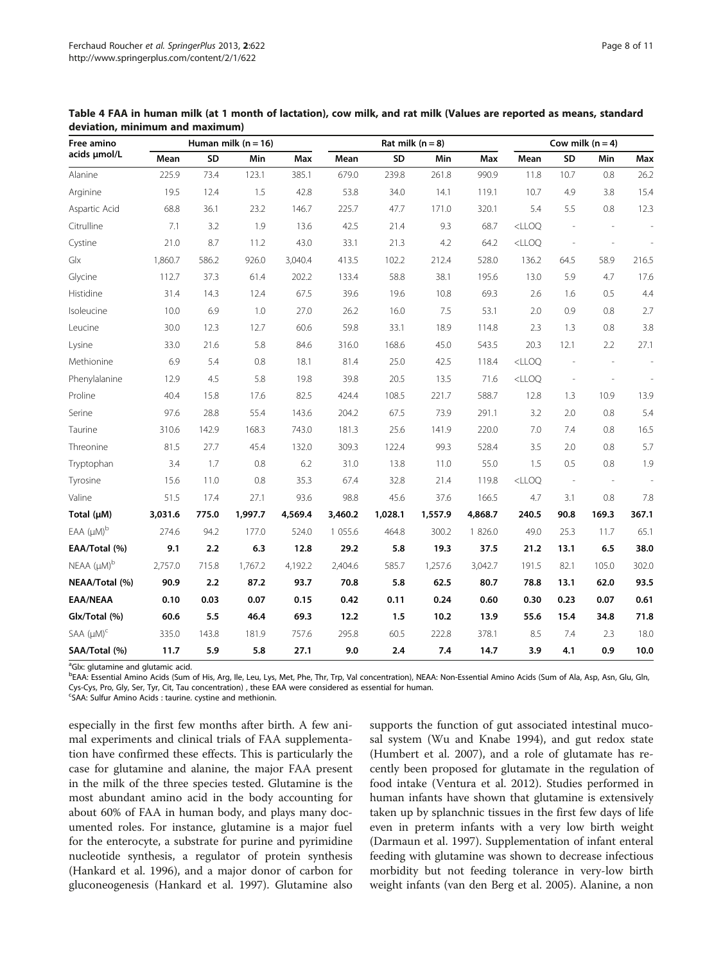| Free amino                    | Human milk ( $n = 16$ ) |       |         |         |           | Rat milk $(n = 8)$ |         |         |          | Cow milk $(n = 4)$       |        |       |  |
|-------------------------------|-------------------------|-------|---------|---------|-----------|--------------------|---------|---------|----------|--------------------------|--------|-------|--|
| acids umol/L                  | Mean                    | SD    | Min     | Max     | Mean      | SD                 | Min     | Max     | Mean     | SD                       | Min    | Max   |  |
| Alanine                       | 225.9                   | 73.4  | 123.1   | 385.1   | 679.0     | 239.8              | 261.8   | 990.9   | 11.8     | 10.7                     | 0.8    | 26.2  |  |
| Arginine                      | 19.5                    | 12.4  | 1.5     | 42.8    | 53.8      | 34.0               | 14.1    | 119.1   | 10.7     | 4.9                      | 3.8    | 15.4  |  |
| Aspartic Acid                 | 68.8                    | 36.1  | 23.2    | 146.7   | 225.7     | 47.7               | 171.0   | 320.1   | 5.4      | 5.5                      | 0.8    | 12.3  |  |
| Citrulline                    | 7.1                     | 3.2   | 1.9     | 13.6    | 42.5      | 21.4               | 9.3     | 68.7    | $<$ LLOQ |                          |        |       |  |
| Cystine                       | 21.0                    | 8.7   | 11.2    | 43.0    | 33.1      | 21.3               | 4.2     | 64.2    | $<$ LLOQ | $\overline{\phantom{a}}$ |        |       |  |
| Glx                           | 1,860.7                 | 586.2 | 926.0   | 3,040.4 | 413.5     | 102.2              | 212.4   | 528.0   | 136.2    | 64.5                     | 58.9   | 216.5 |  |
| Glycine                       | 112.7                   | 37.3  | 61.4    | 202.2   | 133.4     | 58.8               | 38.1    | 195.6   | 13.0     | 5.9                      | 4.7    | 17.6  |  |
| Histidine                     | 31.4                    | 14.3  | 12.4    | 67.5    | 39.6      | 19.6               | 10.8    | 69.3    | 2.6      | 1.6                      | 0.5    | 4.4   |  |
| Isoleucine                    | 10.0                    | 6.9   | 1.0     | 27.0    | 26.2      | 16.0               | 7.5     | 53.1    | 2.0      | 0.9                      | 0.8    | 2.7   |  |
| Leucine                       | 30.0                    | 12.3  | 12.7    | 60.6    | 59.8      | 33.1               | 18.9    | 114.8   | 2.3      | 1.3                      | 0.8    | 3.8   |  |
| Lysine                        | 33.0                    | 21.6  | 5.8     | 84.6    | 316.0     | 168.6              | 45.0    | 543.5   | 20.3     | 12.1                     | 2.2    | 27.1  |  |
| Methionine                    | 6.9                     | 5.4   | 0.8     | 18.1    | 81.4      | 25.0               | 42.5    | 118.4   | $<$ LLOQ |                          |        |       |  |
| Phenylalanine                 | 12.9                    | 4.5   | 5.8     | 19.8    | 39.8      | 20.5               | 13.5    | 71.6    | $<$ LLOQ |                          |        |       |  |
| Proline                       | 40.4                    | 15.8  | 17.6    | 82.5    | 424.4     | 108.5              | 221.7   | 588.7   | 12.8     | 1.3                      | 10.9   | 13.9  |  |
| Serine                        | 97.6                    | 28.8  | 55.4    | 143.6   | 204.2     | 67.5               | 73.9    | 291.1   | 3.2      | 2.0                      | 0.8    | 5.4   |  |
| Taurine                       | 310.6                   | 142.9 | 168.3   | 743.0   | 181.3     | 25.6               | 141.9   | 220.0   | 7.0      | 7.4                      | 0.8    | 16.5  |  |
| Threonine                     | 81.5                    | 27.7  | 45.4    | 132.0   | 309.3     | 122.4              | 99.3    | 528.4   | 3.5      | 2.0                      | 0.8    | 5.7   |  |
| Tryptophan                    | 3.4                     | 1.7   | 0.8     | 6.2     | 31.0      | 13.8               | 11.0    | 55.0    | 1.5      | 0.5                      | 0.8    | 1.9   |  |
| Tyrosine                      | 15.6                    | 11.0  | 0.8     | 35.3    | 67.4      | 32.8               | 21.4    | 119.8   | $<$ LLOQ | $\sim$                   | $\sim$ |       |  |
| Valine                        | 51.5                    | 17.4  | 27.1    | 93.6    | 98.8      | 45.6               | 37.6    | 166.5   | 4.7      | 3.1                      | 0.8    | 7.8   |  |
| Total (µM)                    | 3,031.6                 | 775.0 | 1,997.7 | 4,569.4 | 3,460.2   | 1,028.1            | 1,557.9 | 4,868.7 | 240.5    | 90.8                     | 169.3  | 367.1 |  |
| $EAA (\mu M)^b$               | 274.6                   | 94.2  | 177.0   | 524.0   | 1 0 5 5.6 | 464.8              | 300.2   | 1 826.0 | 49.0     | 25.3                     | 11.7   | 65.1  |  |
| EAA/Total (%)                 | 9.1                     | 2.2   | 6.3     | 12.8    | 29.2      | 5.8                | 19.3    | 37.5    | 21.2     | 13.1                     | 6.5    | 38.0  |  |
| $NEAA$ $(\mu M)^b$            | 2,757.0                 | 715.8 | 1,767.2 | 4,192.2 | 2,404.6   | 585.7              | 1,257.6 | 3,042.7 | 191.5    | 82.1                     | 105.0  | 302.0 |  |
| NEAA/Total (%)                | 90.9                    | 2.2   | 87.2    | 93.7    | 70.8      | 5.8                | 62.5    | 80.7    | 78.8     | 13.1                     | 62.0   | 93.5  |  |
| <b>EAA/NEAA</b>               | 0.10                    | 0.03  | 0.07    | 0.15    | 0.42      | 0.11               | 0.24    | 0.60    | 0.30     | 0.23                     | 0.07   | 0.61  |  |
| Glx/Total (%)                 | 60.6                    | 5.5   | 46.4    | 69.3    | 12.2      | 1.5                | 10.2    | 13.9    | 55.6     | 15.4                     | 34.8   | 71.8  |  |
| $SAA$ ( $\mu$ M) <sup>c</sup> | 335.0                   | 143.8 | 181.9   | 757.6   | 295.8     | 60.5               | 222.8   | 378.1   | 8.5      | 7.4                      | 2.3    | 18.0  |  |
| SAA/Total (%)                 | 11.7                    | 5.9   | 5.8     | 27.1    | 9.0       | 2.4                | 7.4     | 14.7    | 3.9      | 4.1                      | 0.9    | 10.0  |  |

<span id="page-7-0"></span>Table 4 FAA in human milk (at 1 month of lactation), cow milk, and rat milk (Values are reported as means, standard deviation, minimum and maximum)

<sup>a</sup>Glx: glutamine and glutamic acid.

bEAA: Essential Amino Acids (Sum of His, Arg, Ile, Leu, Lys, Met, Phe, Thr, Trp, Val concentration), NEAA: Non-Essential Amino Acids (Sum of Ala, Asp, Asn, Glu, Gln, Cys-Cys, Pro, Gly, Ser, Tyr, Cit, Tau concentration) , these EAA were considered as essential for human.

<sup>c</sup>SAA: Sulfur Amino Acids : taurine. cystine and methionin.

especially in the first few months after birth. A few animal experiments and clinical trials of FAA supplementation have confirmed these effects. This is particularly the case for glutamine and alanine, the major FAA present in the milk of the three species tested. Glutamine is the most abundant amino acid in the body accounting for about 60% of FAA in human body, and plays many documented roles. For instance, glutamine is a major fuel for the enterocyte, a substrate for purine and pyrimidine nucleotide synthesis, a regulator of protein synthesis (Hankard et al. [1996](#page-9-0)), and a major donor of carbon for gluconeogenesis (Hankard et al. [1997\)](#page-9-0). Glutamine also supports the function of gut associated intestinal mucosal system (Wu and Knabe [1994\)](#page-10-0), and gut redox state (Humbert et al. [2007\)](#page-10-0), and a role of glutamate has recently been proposed for glutamate in the regulation of food intake (Ventura et al. [2012\)](#page-10-0). Studies performed in human infants have shown that glutamine is extensively taken up by splanchnic tissues in the first few days of life even in preterm infants with a very low birth weight (Darmaun et al. [1997\)](#page-9-0). Supplementation of infant enteral feeding with glutamine was shown to decrease infectious morbidity but not feeding tolerance in very-low birth weight infants (van den Berg et al. [2005](#page-10-0)). Alanine, a non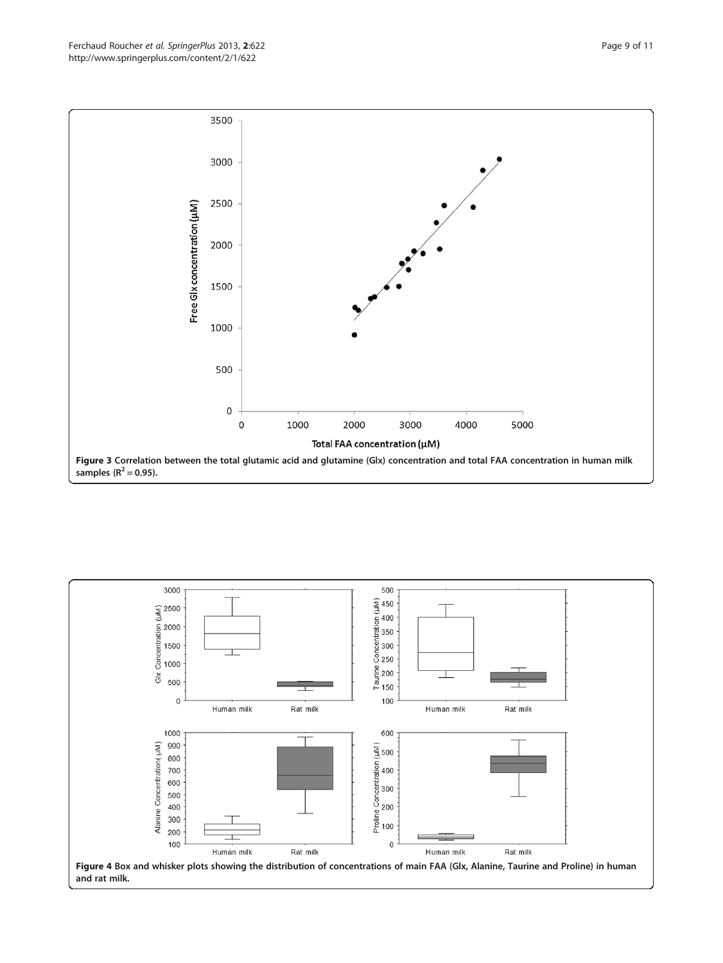<span id="page-8-0"></span>

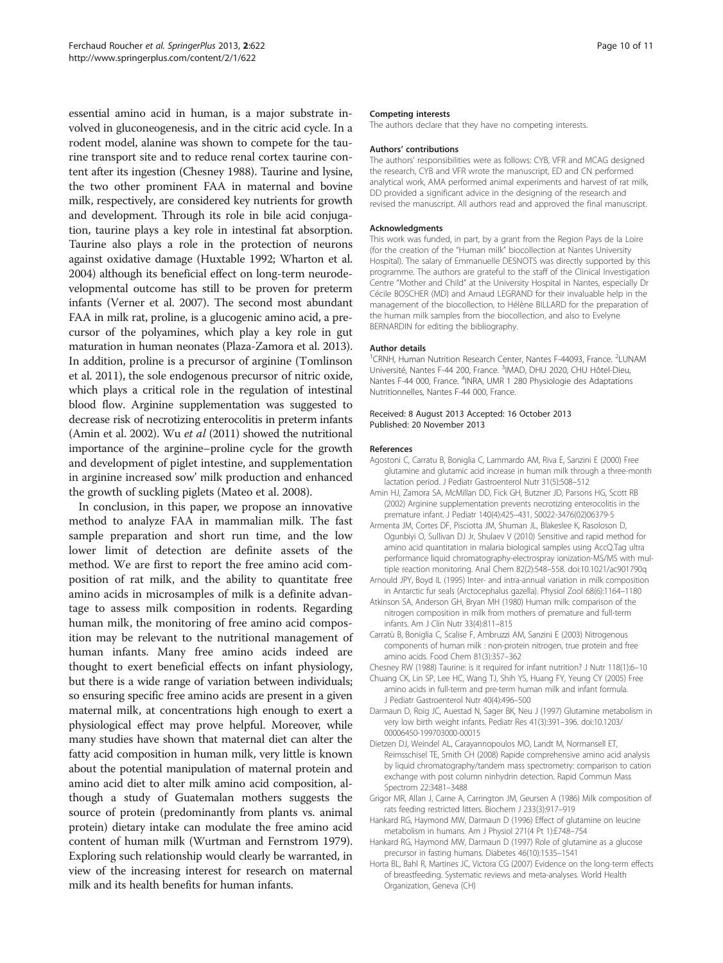<span id="page-9-0"></span>essential amino acid in human, is a major substrate involved in gluconeogenesis, and in the citric acid cycle. In a rodent model, alanine was shown to compete for the taurine transport site and to reduce renal cortex taurine content after its ingestion (Chesney 1988). Taurine and lysine, the two other prominent FAA in maternal and bovine milk, respectively, are considered key nutrients for growth and development. Through its role in bile acid conjugation, taurine plays a key role in intestinal fat absorption. Taurine also plays a role in the protection of neurons against oxidative damage (Huxtable [1992;](#page-10-0) Wharton et al. [2004\)](#page-10-0) although its beneficial effect on long-term neurodevelopmental outcome has still to be proven for preterm infants (Verner et al. [2007](#page-10-0)). The second most abundant FAA in milk rat, proline, is a glucogenic amino acid, a precursor of the polyamines, which play a key role in gut maturation in human neonates (Plaza-Zamora et al. [2013](#page-10-0)). In addition, proline is a precursor of arginine (Tomlinson et al. [2011\)](#page-10-0), the sole endogenous precursor of nitric oxide, which plays a critical role in the regulation of intestinal blood flow. Arginine supplementation was suggested to decrease risk of necrotizing enterocolitis in preterm infants (Amin et al. 2002). Wu et al [\(2011](#page-10-0)) showed the nutritional importance of the arginine–proline cycle for the growth and development of piglet intestine, and supplementation in arginine increased sow' milk production and enhanced the growth of suckling piglets (Mateo et al. [2008](#page-10-0)).

In conclusion, in this paper, we propose an innovative method to analyze FAA in mammalian milk. The fast sample preparation and short run time, and the low lower limit of detection are definite assets of the method. We are first to report the free amino acid composition of rat milk, and the ability to quantitate free amino acids in microsamples of milk is a definite advantage to assess milk composition in rodents. Regarding human milk, the monitoring of free amino acid composition may be relevant to the nutritional management of human infants. Many free amino acids indeed are thought to exert beneficial effects on infant physiology, but there is a wide range of variation between individuals; so ensuring specific free amino acids are present in a given maternal milk, at concentrations high enough to exert a physiological effect may prove helpful. Moreover, while many studies have shown that maternal diet can alter the fatty acid composition in human milk, very little is known about the potential manipulation of maternal protein and amino acid diet to alter milk amino acid composition, although a study of Guatemalan mothers suggests the source of protein (predominantly from plants vs. animal protein) dietary intake can modulate the free amino acid content of human milk (Wurtman and Fernstrom [1979](#page-10-0)). Exploring such relationship would clearly be warranted, in view of the increasing interest for research on maternal milk and its health benefits for human infants.

#### Competing interests

The authors declare that they have no competing interests.

#### Authors' contributions

The authors' responsibilities were as follows: CYB, VFR and MCAG designed the research, CYB and VFR wrote the manuscript, ED and CN performed analytical work, AMA performed animal experiments and harvest of rat milk, DD provided a significant advice in the designing of the research and revised the manuscript. All authors read and approved the final manuscript.

#### Acknowledgments

This work was funded, in part, by a grant from the Region Pays de la Loire (for the creation of the "Human milk" biocollection at Nantes University Hospital). The salary of Emmanuelle DESNOTS was directly supported by this programme. The authors are grateful to the staff of the Clinical Investigation Centre "Mother and Child" at the University Hospital in Nantes, especially Dr Cécile BOSCHER (MD) and Arnaud LEGRAND for their invaluable help in the management of the biocollection, to Hélène BILLARD for the preparation of the human milk samples from the biocollection, and also to Evelyne BERNARDIN for editing the bibliography.

#### Author details

<sup>1</sup> CRNH, Human Nutrition Research Center, Nantes F-44093, France. <sup>2</sup>LUNAM Université, Nantes F-44 200, France. <sup>3</sup>IMAD, DHU 2020, CHU Hôtel-Dieu, Nantes F-44 000, France. <sup>4</sup>INRA, UMR 1 280 Physiologie des Adaptations Nutritionnelles, Nantes F-44 000, France.

#### Received: 8 August 2013 Accepted: 16 October 2013 Published: 20 November 2013

#### References

- Agostoni C, Carratu B, Boniglia C, Lammardo AM, Riva E, Sanzini E (2000) Free glutamine and glutamic acid increase in human milk through a three-month lactation period. J Pediatr Gastroenterol Nutr 31(5):508–512
- Amin HJ, Zamora SA, McMillan DD, Fick GH, Butzner JD, Parsons HG, Scott RB (2002) Arginine supplementation prevents necrotizing enterocolitis in the premature infant. J Pediatr 140(4):425–431, S0022-3476(02)06379-5
- Armenta JM, Cortes DF, Pisciotta JM, Shuman JL, Blakeslee K, Rasoloson D, Ogunbiyi O, Sullivan DJ Jr, Shulaev V (2010) Sensitive and rapid method for amino acid quantitation in malaria biological samples using AccQ.Tag ultra performance liquid chromatography-electrospray ionization-MS/MS with multiple reaction monitoring. Anal Chem 82(2):548–558. doi:10.1021/ac901790q
- Arnould JPY, Boyd IL (1995) Inter- and intra-annual variation in milk composition in Antarctic fur seals (Arctocephalus gazella). Physiol Zool 68(6):1164–1180
- Atkinson SA, Anderson GH, Bryan MH (1980) Human milk: comparison of the nitrogen composition in milk from mothers of premature and full-term infants. Am J Clin Nutr 33(4):811–815
- Carratù B, Boniglia C, Scalise F, Ambruzzi AM, Sanzini E (2003) Nitrogenous components of human milk : non-protein nitrogen, true protein and free amino acids. Food Chem 81(3):357–362
- Chesney RW (1988) Taurine: is it required for infant nutrition? J Nutr 118(1):6–10
- Chuang CK, Lin SP, Lee HC, Wang TJ, Shih YS, Huang FY, Yeung CY (2005) Free amino acids in full-term and pre-term human milk and infant formula. J Pediatr Gastroenterol Nutr 40(4):496–500
- Darmaun D, Roig JC, Auestad N, Sager BK, Neu J (1997) Glutamine metabolism in very low birth weight infants. Pediatr Res 41(3):391–396. doi:10.1203/ 00006450-199703000-00015
- Dietzen DJ, Weindel AL, Carayannopoulos MO, Landt M, Normansell ET, Reimsschisel TE, Smith CH (2008) Rapide comprehensive amino acid analysis by liquid chromatography/tandem mass spectrometry: comparison to cation exchange with post column ninhydrin detection. Rapid Commun Mass Spectrom 22:3481–3488
- Grigor MR, Allan J, Carne A, Carrington JM, Geursen A (1986) Milk composition of rats feeding restricted litters. Biochem J 233(3):917–919
- Hankard RG, Haymond MW, Darmaun D (1996) Effect of glutamine on leucine metabolism in humans. Am J Physiol 271(4 Pt 1):E748–754
- Hankard RG, Haymond MW, Darmaun D (1997) Role of glutamine as a glucose precursor in fasting humans. Diabetes 46(10):1535–1541
- Horta BL, Bahl R, Martines JC, Victora CG (2007) Evidence on the long-term effects of breastfeeding. Systematic reviews and meta-analyses. World Health Organization, Geneva (CH)